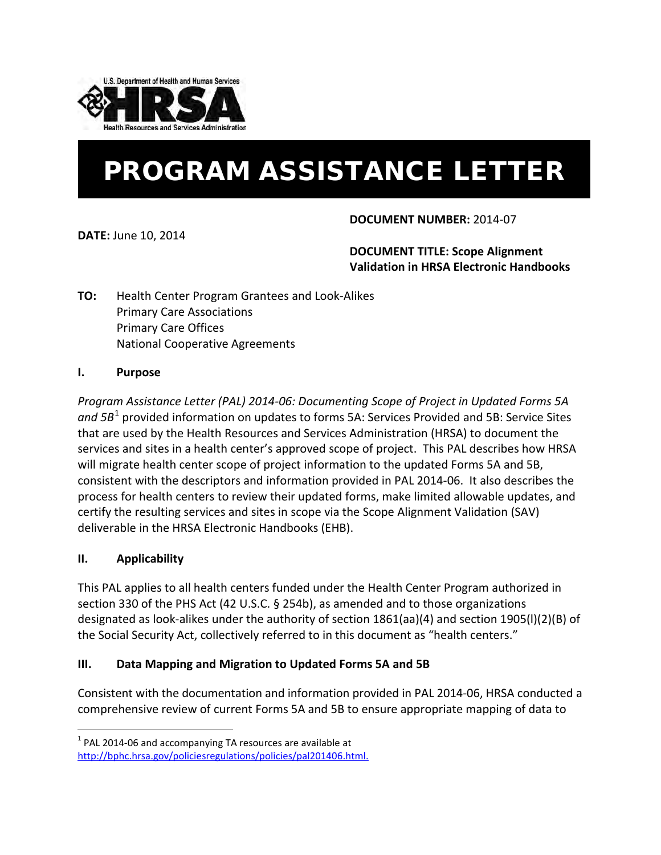

# PROGRAM ASSISTANCE LETTER

**DATE:** June 10, 2014

## **DOCUMENT NUMBER:** 2014-07

**DOCUMENT TITLE: Scope Alignment Validation in HRSA Electronic Handbooks** 

**TO:** Health Center Program Grantees and Look-Alikes Primary Care Associations Primary Care Offices National Cooperative Agreements

## **I. Purpose**

*Program Assistance Letter (PAL) 2014-06: Documenting Scope of Project in Updated Forms 5A and 5B*[1](#page-0-0) provided information on updates to forms 5A: Services Provided and 5B: Service Sites that are used by the Health Resources and Services Administration (HRSA) to document the services and sites in a health center's approved scope of project. This PAL describes how HRSA will migrate health center scope of project information to the updated Forms 5A and 5B, consistent with the descriptors and information provided in PAL 2014-06. It also describes the process for health centers to review their updated forms, make limited allowable updates, and certify the resulting services and sites in scope via the Scope Alignment Validation (SAV) deliverable in the HRSA Electronic Handbooks (EHB).

# **II. Applicability**

 $\overline{a}$ 

This PAL applies to all health centers funded under the Health Center Program authorized in section 330 of the PHS Act (42 U.S.C. § 254b), as amended and to those organizations designated as look-alikes under the authority of section 1861(aa)(4) and section 1905(l)(2)(B) of the Social Security Act, collectively referred to in this document as "health centers."

## **III. Data Mapping and Migration to Updated Forms 5A and 5B**

Consistent with the documentation and information provided in PAL 2014-06, HRSA conducted a comprehensive review of current Forms 5A and 5B to ensure appropriate mapping of data to

<span id="page-0-0"></span> $1$  PAL 2014-06 and accompanying TA resources are available at [http://bphc.hrsa.gov/policiesregulations/policies/pal201406.html.](http://bphc.hrsa.gov/policiesregulations/policies/pal201406.html)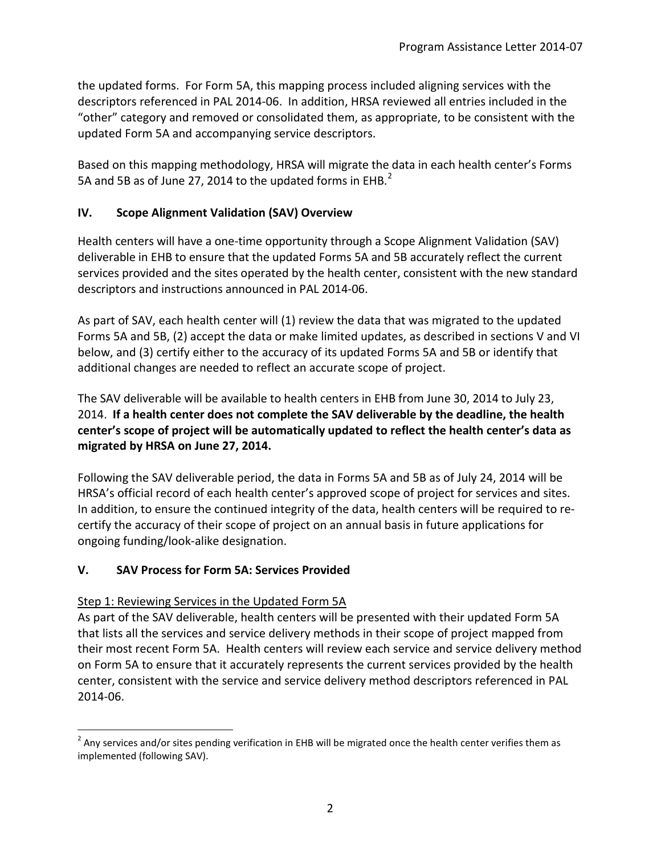the updated forms. For Form 5A, this mapping process included aligning services with the descriptors referenced in PAL 2014-06. In addition, HRSA reviewed all entries included in the "other" category and removed or consolidated them, as appropriate, to be consistent with the updated Form 5A and accompanying service descriptors.

Based on this mapping methodology, HRSA will migrate the data in each health center's Forms 5A and 5B as of June [2](#page-1-0)7, 2014 to the updated forms in EHB. $<sup>2</sup>$ </sup>

# **IV. Scope Alignment Validation (SAV) Overview**

Health centers will have a one-time opportunity through a Scope Alignment Validation (SAV) deliverable in EHB to ensure that the updated Forms 5A and 5B accurately reflect the current services provided and the sites operated by the health center, consistent with the new standard descriptors and instructions announced in PAL 2014-06.

As part of SAV, each health center will (1) review the data that was migrated to the updated Forms 5A and 5B, (2) accept the data or make limited updates, as described in sections V and VI below, and (3) certify either to the accuracy of its updated Forms 5A and 5B or identify that additional changes are needed to reflect an accurate scope of project.

The SAV deliverable will be available to health centers in EHB from June 30, 2014 to July 23, 2014. **If a health center does not complete the SAV deliverable by the deadline, the health center's scope of project will be automatically updated to reflect the health center's data as migrated by HRSA on June 27, 2014.** 

Following the SAV deliverable period, the data in Forms 5A and 5B as of July 24, 2014 will be HRSA's official record of each health center's approved scope of project for services and sites. In addition, to ensure the continued integrity of the data, health centers will be required to recertify the accuracy of their scope of project on an annual basis in future applications for ongoing funding/look-alike designation.

# **V. SAV Process for Form 5A: Services Provided**

## Step 1: Reviewing Services in the Updated Form 5A

 $\overline{a}$ 

As part of the SAV deliverable, health centers will be presented with their updated Form 5A that lists all the services and service delivery methods in their scope of project mapped from their most recent Form 5A. Health centers will review each service and service delivery method on Form 5A to ensure that it accurately represents the current services provided by the health center, consistent with the service and service delivery method descriptors referenced in PAL 2014-06.

<span id="page-1-0"></span> $2$  Any services and/or sites pending verification in EHB will be migrated once the health center verifies them as implemented (following SAV).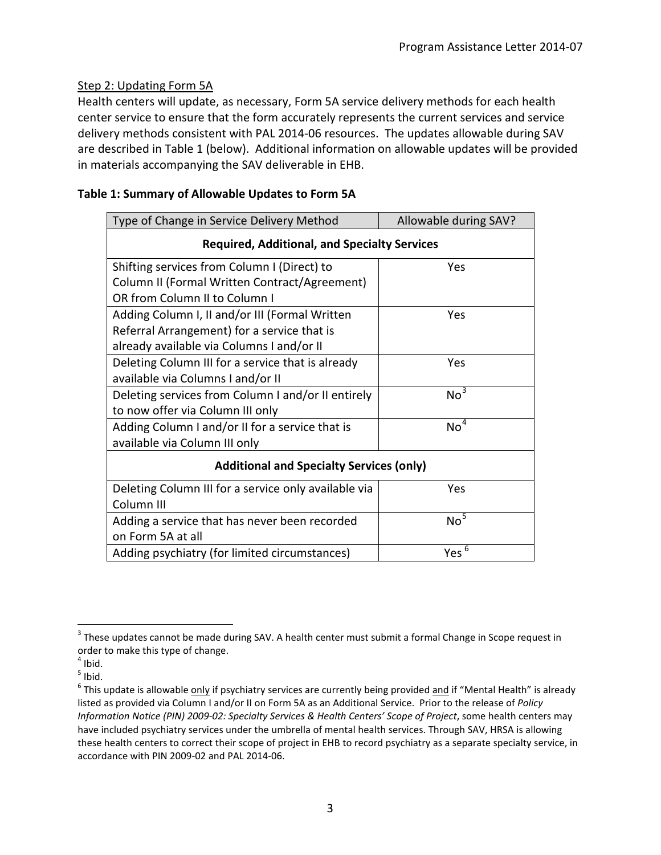## Step 2: Updating Form 5A

Health centers will update, as necessary, Form 5A service delivery methods for each health center service to ensure that the form accurately represents the current services and service delivery methods consistent with PAL 2014-06 resources. The updates allowable during SAV are described in Table 1 (below). Additional information on allowable updates will be provided in materials accompanying the SAV deliverable in EHB.

| Type of Change in Service Delivery Method            | Allowable during SAV? |
|------------------------------------------------------|-----------------------|
| <b>Required, Additional, and Specialty Services</b>  |                       |
| Shifting services from Column I (Direct) to          | Yes                   |
| Column II (Formal Written Contract/Agreement)        |                       |
| OR from Column II to Column I                        |                       |
| Adding Column I, II and/or III (Formal Written       | Yes                   |
| Referral Arrangement) for a service that is          |                       |
| already available via Columns I and/or II            |                       |
| Deleting Column III for a service that is already    | Yes                   |
| available via Columns I and/or II                    |                       |
| Deleting services from Column I and/or II entirely   | No <sup>3</sup>       |
| to now offer via Column III only                     |                       |
| Adding Column I and/or II for a service that is      | $No^4$                |
| available via Column III only                        |                       |
| <b>Additional and Specialty Services (only)</b>      |                       |
| Deleting Column III for a service only available via | Yes                   |
| Column III                                           |                       |
| Adding a service that has never been recorded        | No <sup>5</sup>       |
| on Form 5A at all                                    |                       |
| Adding psychiatry (for limited circumstances)        | Yes <sup>6</sup>      |

## **Table 1: Summary of Allowable Updates to Form 5A**

<span id="page-2-0"></span> $3$  These updates cannot be made during SAV. A health center must submit a formal Change in Scope request in order to make this type of change.  $\overline{a}$ 

<span id="page-2-1"></span> $<sup>4</sup>$  Ibid.</sup>

<span id="page-2-2"></span> $<sup>5</sup>$  Ibid.</sup>

<span id="page-2-3"></span> $6$  This update is allowable only if psychiatry services are currently being provided and if "Mental Health" is already listed as provided via Column I and/or II on Form 5A as an Additional Service. Prior to the release of *Policy Information Notice (PIN) 2009-02: Specialty Services & Health Centers' Scope of Project*, some health centers may have included psychiatry services under the umbrella of mental health services. Through SAV, HRSA is allowing these health centers to correct their scope of project in EHB to record psychiatry as a separate specialty service, in accordance with PIN 2009-02 and PAL 2014-06.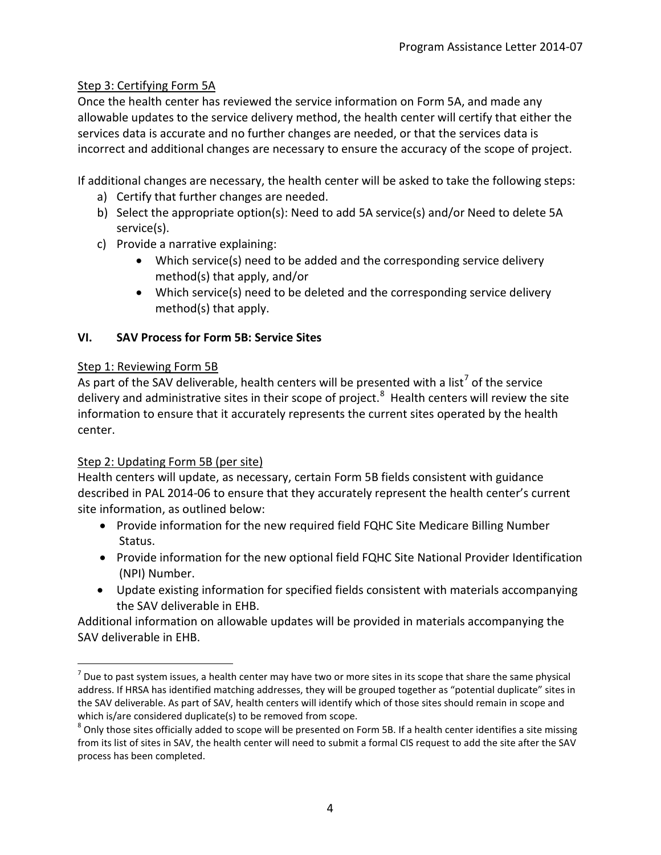## Step 3: Certifying Form 5A

Once the health center has reviewed the service information on Form 5A, and made any allowable updates to the service delivery method, the health center will certify that either the services data is accurate and no further changes are needed, or that the services data is incorrect and additional changes are necessary to ensure the accuracy of the scope of project.

If additional changes are necessary, the health center will be asked to take the following steps:

- a) Certify that further changes are needed.
- b) Select the appropriate option(s): Need to add 5A service(s) and/or Need to delete 5A service(s).
- c) Provide a narrative explaining:
	- Which service(s) need to be added and the corresponding service delivery method(s) that apply, and/or
	- Which service(s) need to be deleted and the corresponding service delivery method(s) that apply.

## **VI. SAV Process for Form 5B: Service Sites**

## Step 1: Reviewing Form 5B

As part of the SAV deliverable, health centers will be presented with a list<sup>[7](#page-3-0)</sup> of the service delivery and administrative sites in their scope of project.<sup>[8](#page-3-1)</sup> Health centers will review the site information to ensure that it accurately represents the current sites operated by the health center.

## Step 2: Updating Form 5B (per site)

Health centers will update, as necessary, certain Form 5B fields consistent with guidance described in PAL 2014-06 to ensure that they accurately represent the health center's current site information, as outlined below:

- Provide information for the new required field FQHC Site Medicare Billing Number Status.
- Provide information for the new optional field FQHC Site National Provider Identification (NPI) Number.
- Update existing information for specified fields consistent with materials accompanying the SAV deliverable in EHB.

Additional information on allowable updates will be provided in materials accompanying the SAV deliverable in EHB.

<span id="page-3-0"></span> $<sup>7</sup>$  Due to past system issues, a health center may have two or more sites in its scope that share the same physical</sup> address. If HRSA has identified matching addresses, they will be grouped together as "potential duplicate" sites in the SAV deliverable. As part of SAV, health centers will identify which of those sites should remain in scope and which is/are considered duplicate(s) to be removed from scope.<br><sup>8</sup> Only those sites officially added to scope will be presented on Form 5B. If a health center identifies a site missing  $\overline{a}$ 

<span id="page-3-1"></span>from its list of sites in SAV, the health center will need to submit a formal CIS request to add the site after the SAV process has been completed.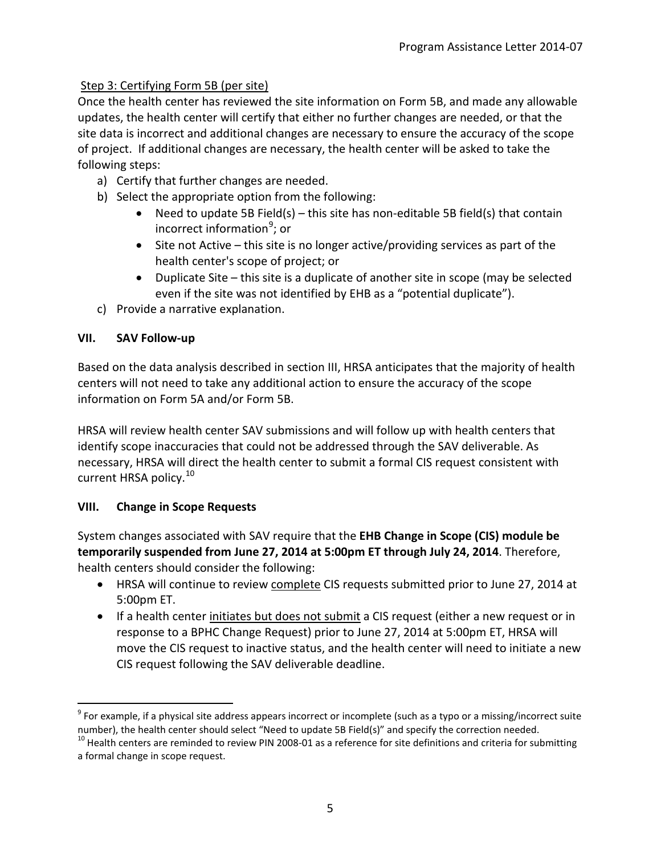# Step 3: Certifying Form 5B (per site)

Once the health center has reviewed the site information on Form 5B, and made any allowable updates, the health center will certify that either no further changes are needed, or that the site data is incorrect and additional changes are necessary to ensure the accuracy of the scope of project. If additional changes are necessary, the health center will be asked to take the following steps:

- a) Certify that further changes are needed.
- b) Select the appropriate option from the following:
	- Need to update 5B Field(s) this site has non-editable 5B field(s) that contain incorrect information<sup>[9](#page-4-0)</sup>; or
	- Site not Active this site is no longer active/providing services as part of the health center's scope of project; or
	- Duplicate Site this site is a duplicate of another site in scope (may be selected even if the site was not identified by EHB as a "potential duplicate").
- c) Provide a narrative explanation.

## **VII. SAV Follow-up**

Based on the data analysis described in section III, HRSA anticipates that the majority of health centers will not need to take any additional action to ensure the accuracy of the scope information on Form 5A and/or Form 5B.

HRSA will review health center SAV submissions and will follow up with health centers that identify scope inaccuracies that could not be addressed through the SAV deliverable. As necessary, HRSA will direct the health center to submit a formal CIS request consistent with current HRSA policy.<sup>[10](#page-4-1)</sup>

## **VIII. Change in Scope Requests**

System changes associated with SAV require that the **EHB Change in Scope (CIS) module be temporarily suspended from June 27, 2014 at 5:00pm ET through July 24, 2014**. Therefore, health centers should consider the following:

- HRSA will continue to review complete CIS requests submitted prior to June 27, 2014 at 5:00pm ET.
- If a health center initiates but does not submit a CIS request (either a new request or in response to a BPHC Change Request) prior to June 27, 2014 at 5:00pm ET, HRSA will move the CIS request to inactive status, and the health center will need to initiate a new CIS request following the SAV deliverable deadline.

<span id="page-4-0"></span> $9$  For example, if a physical site address appears incorrect or incomplete (such as a typo or a missing/incorrect suite number), the health center should select "Need to update 5B Field(s)" and specify the correction needed.  $\overline{a}$ 

<span id="page-4-1"></span> $10$  Health centers are reminded to review PIN 2008-01 as a reference for site definitions and criteria for submitting a formal change in scope request.